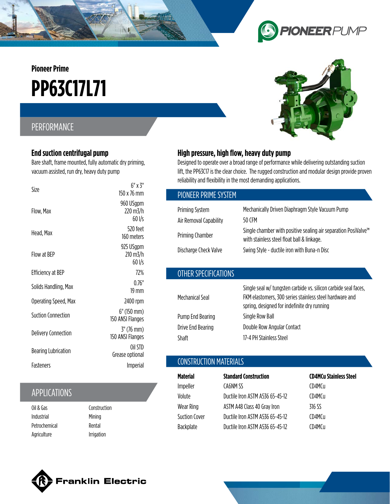**Pioneer Prime**

# **PP63C17L71**

## PERFORMANCE

### **End suction centrifugal pump**

Bare shaft, frame mounted, fully automatic dry priming, vacuum assisted, run dry, heavy duty pump

| Size                       | $6"$ x $3"$<br>150 x 76 mm         |
|----------------------------|------------------------------------|
| Flow, Max                  | 960 USgpm<br>220 m3/h<br>$60$ I/s  |
| Head, Max                  | 520 feet<br>160 meters             |
| Flow at BEP                | 925 USgpm<br>210 m3/h<br>$60$ I/s  |
| <b>Efficiency at BEP</b>   | 72%                                |
| Solids Handling, Max       | 0.76"<br>19 mm                     |
| Operating Speed, Max       | 2400 rpm                           |
| <b>Suction Connection</b>  | $6''$ (150 mm)<br>150 ANSI Flanges |
| <b>Delivery Connection</b> | $3''$ (76 mm)<br>150 ANSI Flanges  |
| <b>Bearing Lubrication</b> | Oil STD<br>Grease optional         |
| Fasteners                  | Imperial                           |

# APPLICATIONS

| Oil & Gas     |  |
|---------------|--|
| Industrial    |  |
| Petrochemical |  |
| Agriculture   |  |

Construction **Mining** Rental Irrigation

## **High pressure, high flow, heavy duty pump**

Designed to operate over a broad range of performance while delivering outstanding suction lift, the PP63C17 is the clear choice. The rugged construction and modular design provide proven reliability and flexibility in the most demanding applications.

| PIONEER PRIME SYSTEM   |                                                                                                                                                                           |
|------------------------|---------------------------------------------------------------------------------------------------------------------------------------------------------------------------|
| <b>Priming System</b>  | Mechanically Driven Diaphragm Style Vacuum Pump                                                                                                                           |
| Air Removal Capability | 50 CFM                                                                                                                                                                    |
| Priming Chamber        | Single chamber with positive sealing air separation PosiValve <sup>™</sup><br>with stainless steel float ball & linkage.                                                  |
| Discharge Check Valve  | Swing Style - ductile iron with Buna-n Disc                                                                                                                               |
|                        |                                                                                                                                                                           |
| OTHER SPECIFICATIONS   |                                                                                                                                                                           |
| Mechanical Seal        | Single seal w/ tungsten carbide vs. silicon carbide seal faces,<br>FKM elastomers, 300 series stainless steel hardware and<br>spring, designed for indefinite dry running |
| Pump End Bearing       | Single Row Ball                                                                                                                                                           |
| Drive End Bearing      | Double Row Angular Contact                                                                                                                                                |

### CONSTRUCTION MATERIALS

Shaft 17-4 PH Stainless Steel

| <b>Material</b> | <b>Standard Construction</b>    | <b>CD4MCu Stainless Steel</b> |
|-----------------|---------------------------------|-------------------------------|
| Impeller        | CA6NM SS                        | CD4MCu                        |
| Volute          | Ductile Iron ASTM A536 65-45-12 | CD4MCu                        |
| Wear Ring       | ASTM A48 Class 40 Gray Iron     | 316 SS                        |
| Suction Cover   | Ductile Iron ASTM A536 65-45-12 | CD4MCu                        |
| Backplate       | Ductile Iron ASTM A536 65-45-12 | CD4MCu                        |